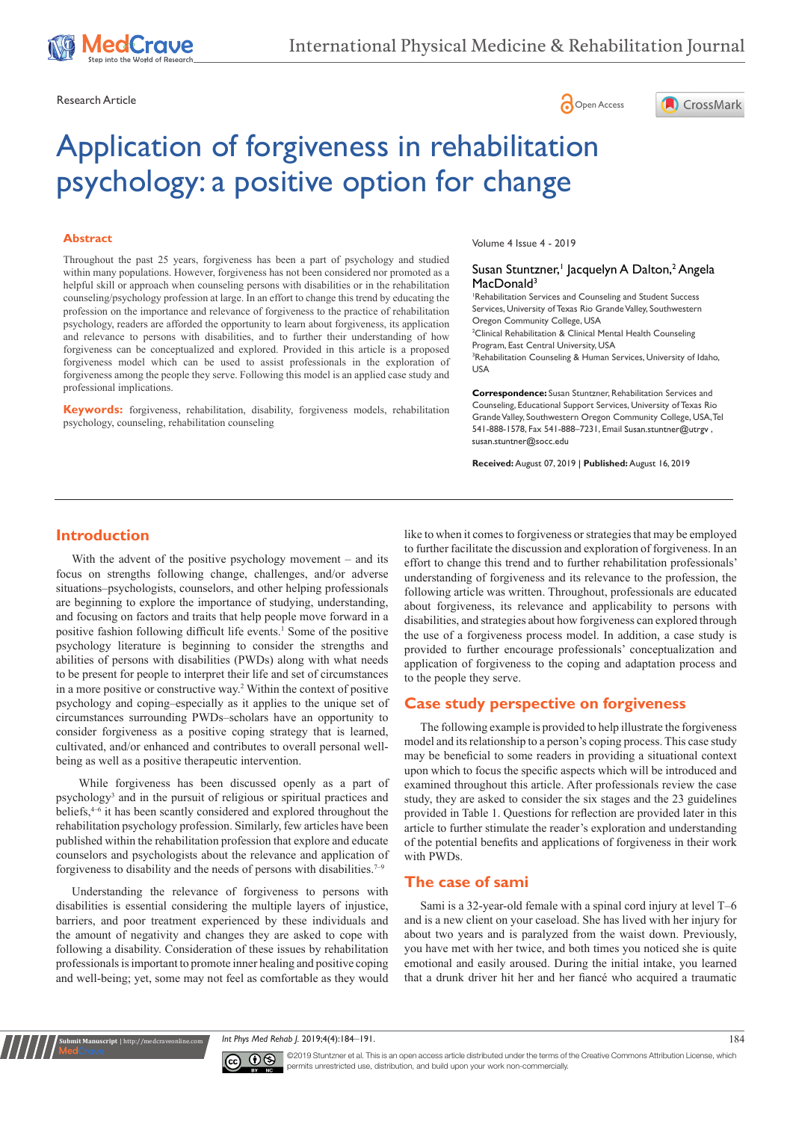





# Application of forgiveness in rehabilitation psychology: a positive option for change

#### **Abstract**

Throughout the past 25 years, forgiveness has been a part of psychology and studied within many populations. However, forgiveness has not been considered nor promoted as a helpful skill or approach when counseling persons with disabilities or in the rehabilitation counseling/psychology profession at large. In an effort to change this trend by educating the profession on the importance and relevance of forgiveness to the practice of rehabilitation psychology, readers are afforded the opportunity to learn about forgiveness, its application and relevance to persons with disabilities, and to further their understanding of how forgiveness can be conceptualized and explored. Provided in this article is a proposed forgiveness model which can be used to assist professionals in the exploration of forgiveness among the people they serve. Following this model is an applied case study and professional implications.

**Keywords:** forgiveness, rehabilitation, disability, forgiveness models, rehabilitation psychology, counseling, rehabilitation counseling

Volume 4 Issue 4 - 2019

#### Susan Stuntzner,<sup>1</sup> Jacquelyn A Dalton,<sup>2</sup> Angela MacDonald<sup>3</sup>

1 Rehabilitation Services and Counseling and Student Success Services, University of Texas Rio Grande Valley, Southwestern Oregon Community College, USA <sup>2</sup> Clinical Rehabilitation & Clinical Mental Health Counseling Program, East Central University, USA 3 Rehabilitation Counseling & Human Services, University of Idaho, USA

**Correspondence:** Susan Stuntzner, Rehabilitation Services and Counseling, Educational Support Services, University of Texas Rio Grande Valley, Southwestern Oregon Community College, USA, Tel 541-888-1578, Fax 541-888-7231, Email Susan.stuntner@utrgv, susan.stuntner@socc.edu

**Received:** August 07, 2019 | **Published:** August 16, 2019

## **Introduction**

With the advent of the positive psychology movement – and its focus on strengths following change, challenges, and/or adverse situations–psychologists, counselors, and other helping professionals are beginning to explore the importance of studying, understanding, and focusing on factors and traits that help people move forward in a positive fashion following difficult life events.<sup>1</sup> Some of the positive psychology literature is beginning to consider the strengths and abilities of persons with disabilities (PWDs) along with what needs to be present for people to interpret their life and set of circumstances in a more positive or constructive way.<sup>2</sup> Within the context of positive psychology and coping–especially as it applies to the unique set of circumstances surrounding PWDs–scholars have an opportunity to consider forgiveness as a positive coping strategy that is learned, cultivated, and/or enhanced and contributes to overall personal wellbeing as well as a positive therapeutic intervention.

 While forgiveness has been discussed openly as a part of psychology3 and in the pursuit of religious or spiritual practices and beliefs,<sup>4-6</sup> it has been scantly considered and explored throughout the rehabilitation psychology profession. Similarly, few articles have been published within the rehabilitation profession that explore and educate counselors and psychologists about the relevance and application of forgiveness to disability and the needs of persons with disabilities.<sup>7-9</sup>

Understanding the relevance of forgiveness to persons with disabilities is essential considering the multiple layers of injustice, barriers, and poor treatment experienced by these individuals and the amount of negativity and changes they are asked to cope with following a disability. Consideration of these issues by rehabilitation professionals is important to promote inner healing and positive coping and well-being; yet, some may not feel as comfortable as they would

**nit Manuscript** | http://medcraveonline.

like to when it comes to forgiveness or strategies that may be employed to further facilitate the discussion and exploration of forgiveness. In an effort to change this trend and to further rehabilitation professionals' understanding of forgiveness and its relevance to the profession, the following article was written. Throughout, professionals are educated about forgiveness, its relevance and applicability to persons with disabilities, and strategies about how forgiveness can explored through the use of a forgiveness process model. In addition, a case study is provided to further encourage professionals' conceptualization and application of forgiveness to the coping and adaptation process and to the people they serve.

## **Case study perspective on forgiveness**

The following example is provided to help illustrate the forgiveness model and its relationship to a person's coping process. This case study may be beneficial to some readers in providing a situational context upon which to focus the specific aspects which will be introduced and examined throughout this article. After professionals review the case study, they are asked to consider the six stages and the 23 guidelines provided in Table 1. Questions for reflection are provided later in this article to further stimulate the reader's exploration and understanding of the potential benefits and applications of forgiveness in their work with PWDs.

## **The case of sami**

Sami is a 32-year-old female with a spinal cord injury at level T–6 and is a new client on your caseload. She has lived with her injury for about two years and is paralyzed from the waist down. Previously, you have met with her twice, and both times you noticed she is quite emotional and easily aroused. During the initial intake, you learned that a drunk driver hit her and her fiancé who acquired a traumatic

*Int Phys Med Rehab J.* 2019;4(4):184‒191. 184



©2019 Stuntzner et al. This is an open access article distributed under the terms of the [Creative Commons Attribution License,](https://creativecommons.org/licenses/by-nc/4.0/) which permits unrestricted use, distribution, and build upon your work non-commercially.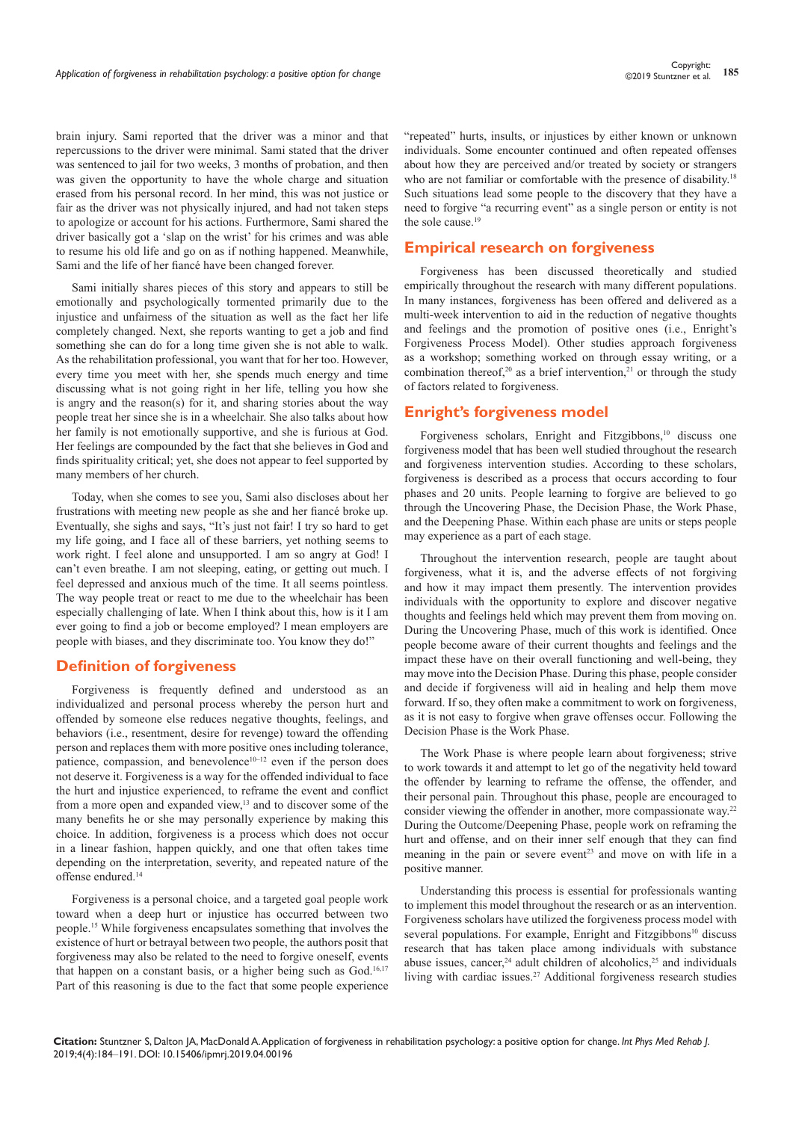brain injury. Sami reported that the driver was a minor and that repercussions to the driver were minimal. Sami stated that the driver was sentenced to jail for two weeks, 3 months of probation, and then was given the opportunity to have the whole charge and situation erased from his personal record. In her mind, this was not justice or fair as the driver was not physically injured, and had not taken steps to apologize or account for his actions. Furthermore, Sami shared the driver basically got a 'slap on the wrist' for his crimes and was able to resume his old life and go on as if nothing happened. Meanwhile, Sami and the life of her fiancé have been changed forever.

Sami initially shares pieces of this story and appears to still be emotionally and psychologically tormented primarily due to the injustice and unfairness of the situation as well as the fact her life completely changed. Next, she reports wanting to get a job and find something she can do for a long time given she is not able to walk. As the rehabilitation professional, you want that for her too. However, every time you meet with her, she spends much energy and time discussing what is not going right in her life, telling you how she is angry and the reason(s) for it, and sharing stories about the way people treat her since she is in a wheelchair. She also talks about how her family is not emotionally supportive, and she is furious at God. Her feelings are compounded by the fact that she believes in God and finds spirituality critical; yet, she does not appear to feel supported by many members of her church.

Today, when she comes to see you, Sami also discloses about her frustrations with meeting new people as she and her fiancé broke up. Eventually, she sighs and says, "It's just not fair! I try so hard to get my life going, and I face all of these barriers, yet nothing seems to work right. I feel alone and unsupported. I am so angry at God! I can't even breathe. I am not sleeping, eating, or getting out much. I feel depressed and anxious much of the time. It all seems pointless. The way people treat or react to me due to the wheelchair has been especially challenging of late. When I think about this, how is it I am ever going to find a job or become employed? I mean employers are people with biases, and they discriminate too. You know they do!"

# **Definition of forgiveness**

Forgiveness is frequently defined and understood as an individualized and personal process whereby the person hurt and offended by someone else reduces negative thoughts, feelings, and behaviors (i.e., resentment, desire for revenge) toward the offending person and replaces them with more positive ones including tolerance, patience, compassion, and benevolence<sup>10–12</sup> even if the person does not deserve it. Forgiveness is a way for the offended individual to face the hurt and injustice experienced, to reframe the event and conflict from a more open and expanded view,<sup>13</sup> and to discover some of the many benefits he or she may personally experience by making this choice. In addition, forgiveness is a process which does not occur in a linear fashion, happen quickly, and one that often takes time depending on the interpretation, severity, and repeated nature of the offense endured.<sup>14</sup>

Forgiveness is a personal choice, and a targeted goal people work toward when a deep hurt or injustice has occurred between two people.15 While forgiveness encapsulates something that involves the existence of hurt or betrayal between two people, the authors posit that forgiveness may also be related to the need to forgive oneself, events that happen on a constant basis, or a higher being such as  $God.^{16,17}$ Part of this reasoning is due to the fact that some people experience

"repeated" hurts, insults, or injustices by either known or unknown individuals. Some encounter continued and often repeated offenses about how they are perceived and/or treated by society or strangers who are not familiar or comfortable with the presence of disability.<sup>18</sup> Such situations lead some people to the discovery that they have a need to forgive "a recurring event" as a single person or entity is not the sole cause.<sup>19</sup>

# **Empirical research on forgiveness**

Forgiveness has been discussed theoretically and studied empirically throughout the research with many different populations. In many instances, forgiveness has been offered and delivered as a multi-week intervention to aid in the reduction of negative thoughts and feelings and the promotion of positive ones (i.e., Enright's Forgiveness Process Model). Other studies approach forgiveness as a workshop; something worked on through essay writing, or a combination thereof,<sup>20</sup> as a brief intervention,<sup>21</sup> or through the study of factors related to forgiveness.

## **Enright's forgiveness model**

Forgiveness scholars, Enright and Fitzgibbons,<sup>10</sup> discuss one forgiveness model that has been well studied throughout the research and forgiveness intervention studies. According to these scholars, forgiveness is described as a process that occurs according to four phases and 20 units. People learning to forgive are believed to go through the Uncovering Phase, the Decision Phase, the Work Phase, and the Deepening Phase. Within each phase are units or steps people may experience as a part of each stage.

Throughout the intervention research, people are taught about forgiveness, what it is, and the adverse effects of not forgiving and how it may impact them presently. The intervention provides individuals with the opportunity to explore and discover negative thoughts and feelings held which may prevent them from moving on. During the Uncovering Phase, much of this work is identified. Once people become aware of their current thoughts and feelings and the impact these have on their overall functioning and well-being, they may move into the Decision Phase. During this phase, people consider and decide if forgiveness will aid in healing and help them move forward. If so, they often make a commitment to work on forgiveness, as it is not easy to forgive when grave offenses occur. Following the Decision Phase is the Work Phase.

The Work Phase is where people learn about forgiveness; strive to work towards it and attempt to let go of the negativity held toward the offender by learning to reframe the offense, the offender, and their personal pain. Throughout this phase, people are encouraged to consider viewing the offender in another, more compassionate way.<sup>22</sup> During the Outcome/Deepening Phase, people work on reframing the hurt and offense, and on their inner self enough that they can find meaning in the pain or severe event<sup>23</sup> and move on with life in a positive manner.

Understanding this process is essential for professionals wanting to implement this model throughout the research or as an intervention. Forgiveness scholars have utilized the forgiveness process model with several populations. For example, Enright and Fitzgibbons<sup>10</sup> discuss research that has taken place among individuals with substance abuse issues, cancer,<sup>24</sup> adult children of alcoholics,<sup>25</sup> and individuals living with cardiac issues.<sup>27</sup> Additional forgiveness research studies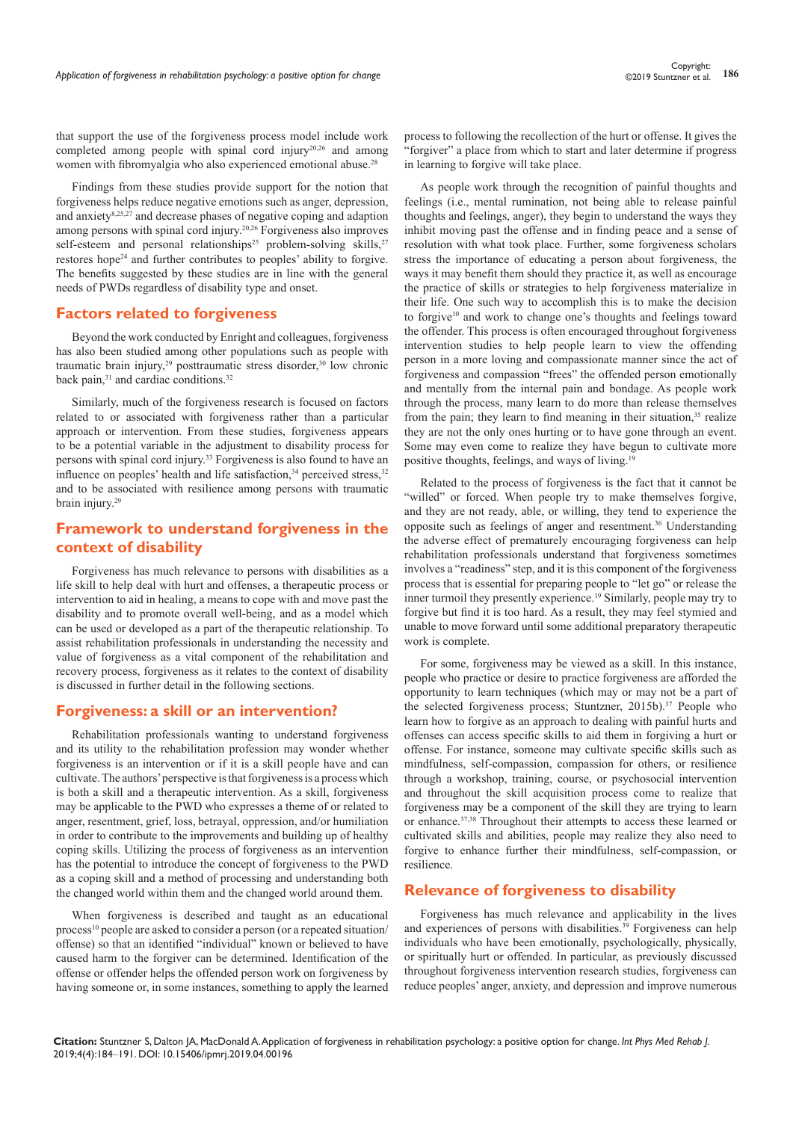that support the use of the forgiveness process model include work completed among people with spinal cord injury<sup>20,26</sup> and among women with fibromyalgia who also experienced emotional abuse.<sup>28</sup>

Findings from these studies provide support for the notion that forgiveness helps reduce negative emotions such as anger, depression, and anxiety8,25,27 and decrease phases of negative coping and adaption among persons with spinal cord injury.20,26 Forgiveness also improves self-esteem and personal relationships<sup>25</sup> problem-solving skills,<sup>27</sup> restores hope<sup>24</sup> and further contributes to peoples' ability to forgive. The benefits suggested by these studies are in line with the general needs of PWDs regardless of disability type and onset.

## **Factors related to forgiveness**

Beyond the work conducted by Enright and colleagues, forgiveness has also been studied among other populations such as people with traumatic brain injury,<sup>29</sup> posttraumatic stress disorder,<sup>30</sup> low chronic back pain,<sup>31</sup> and cardiac conditions.<sup>32</sup>

Similarly, much of the forgiveness research is focused on factors related to or associated with forgiveness rather than a particular approach or intervention. From these studies, forgiveness appears to be a potential variable in the adjustment to disability process for persons with spinal cord injury.<sup>33</sup> Forgiveness is also found to have an influence on peoples' health and life satisfaction, $34$  perceived stress, $32$ and to be associated with resilience among persons with traumatic brain injury.<sup>29</sup>

## **Framework to understand forgiveness in the context of disability**

Forgiveness has much relevance to persons with disabilities as a life skill to help deal with hurt and offenses, a therapeutic process or intervention to aid in healing, a means to cope with and move past the disability and to promote overall well-being, and as a model which can be used or developed as a part of the therapeutic relationship. To assist rehabilitation professionals in understanding the necessity and value of forgiveness as a vital component of the rehabilitation and recovery process, forgiveness as it relates to the context of disability is discussed in further detail in the following sections.

#### **Forgiveness: a skill or an intervention?**

Rehabilitation professionals wanting to understand forgiveness and its utility to the rehabilitation profession may wonder whether forgiveness is an intervention or if it is a skill people have and can cultivate. The authors' perspective is that forgiveness is a process which is both a skill and a therapeutic intervention. As a skill, forgiveness may be applicable to the PWD who expresses a theme of or related to anger, resentment, grief, loss, betrayal, oppression, and/or humiliation in order to contribute to the improvements and building up of healthy coping skills. Utilizing the process of forgiveness as an intervention has the potential to introduce the concept of forgiveness to the PWD as a coping skill and a method of processing and understanding both the changed world within them and the changed world around them.

When forgiveness is described and taught as an educational process<sup>10</sup> people are asked to consider a person (or a repeated situation/ offense) so that an identified "individual" known or believed to have caused harm to the forgiver can be determined. Identification of the offense or offender helps the offended person work on forgiveness by having someone or, in some instances, something to apply the learned

process to following the recollection of the hurt or offense. It gives the "forgiver" a place from which to start and later determine if progress in learning to forgive will take place.

As people work through the recognition of painful thoughts and feelings (i.e., mental rumination, not being able to release painful thoughts and feelings, anger), they begin to understand the ways they inhibit moving past the offense and in finding peace and a sense of resolution with what took place. Further, some forgiveness scholars stress the importance of educating a person about forgiveness, the ways it may benefit them should they practice it, as well as encourage the practice of skills or strategies to help forgiveness materialize in their life. One such way to accomplish this is to make the decision to forgive<sup>10</sup> and work to change one's thoughts and feelings toward the offender. This process is often encouraged throughout forgiveness intervention studies to help people learn to view the offending person in a more loving and compassionate manner since the act of forgiveness and compassion "frees" the offended person emotionally and mentally from the internal pain and bondage. As people work through the process, many learn to do more than release themselves from the pain; they learn to find meaning in their situation,<sup>35</sup> realize they are not the only ones hurting or to have gone through an event. Some may even come to realize they have begun to cultivate more positive thoughts, feelings, and ways of living.<sup>19</sup>

Related to the process of forgiveness is the fact that it cannot be "willed" or forced. When people try to make themselves forgive, and they are not ready, able, or willing, they tend to experience the opposite such as feelings of anger and resentment.36 Understanding the adverse effect of prematurely encouraging forgiveness can help rehabilitation professionals understand that forgiveness sometimes involves a "readiness" step, and it is this component of the forgiveness process that is essential for preparing people to "let go" or release the inner turmoil they presently experience.<sup>19</sup> Similarly, people may try to forgive but find it is too hard. As a result, they may feel stymied and unable to move forward until some additional preparatory therapeutic work is complete.

For some, forgiveness may be viewed as a skill. In this instance, people who practice or desire to practice forgiveness are afforded the opportunity to learn techniques (which may or may not be a part of the selected forgiveness process; Stuntzner, 2015b).<sup>37</sup> People who learn how to forgive as an approach to dealing with painful hurts and offenses can access specific skills to aid them in forgiving a hurt or offense. For instance, someone may cultivate specific skills such as mindfulness, self-compassion, compassion for others, or resilience through a workshop, training, course, or psychosocial intervention and throughout the skill acquisition process come to realize that forgiveness may be a component of the skill they are trying to learn or enhance.37,38 Throughout their attempts to access these learned or cultivated skills and abilities, people may realize they also need to forgive to enhance further their mindfulness, self-compassion, or resilience.

## **Relevance of forgiveness to disability**

Forgiveness has much relevance and applicability in the lives and experiences of persons with disabilities.<sup>39</sup> Forgiveness can help individuals who have been emotionally, psychologically, physically, or spiritually hurt or offended. In particular, as previously discussed throughout forgiveness intervention research studies, forgiveness can reduce peoples' anger, anxiety, and depression and improve numerous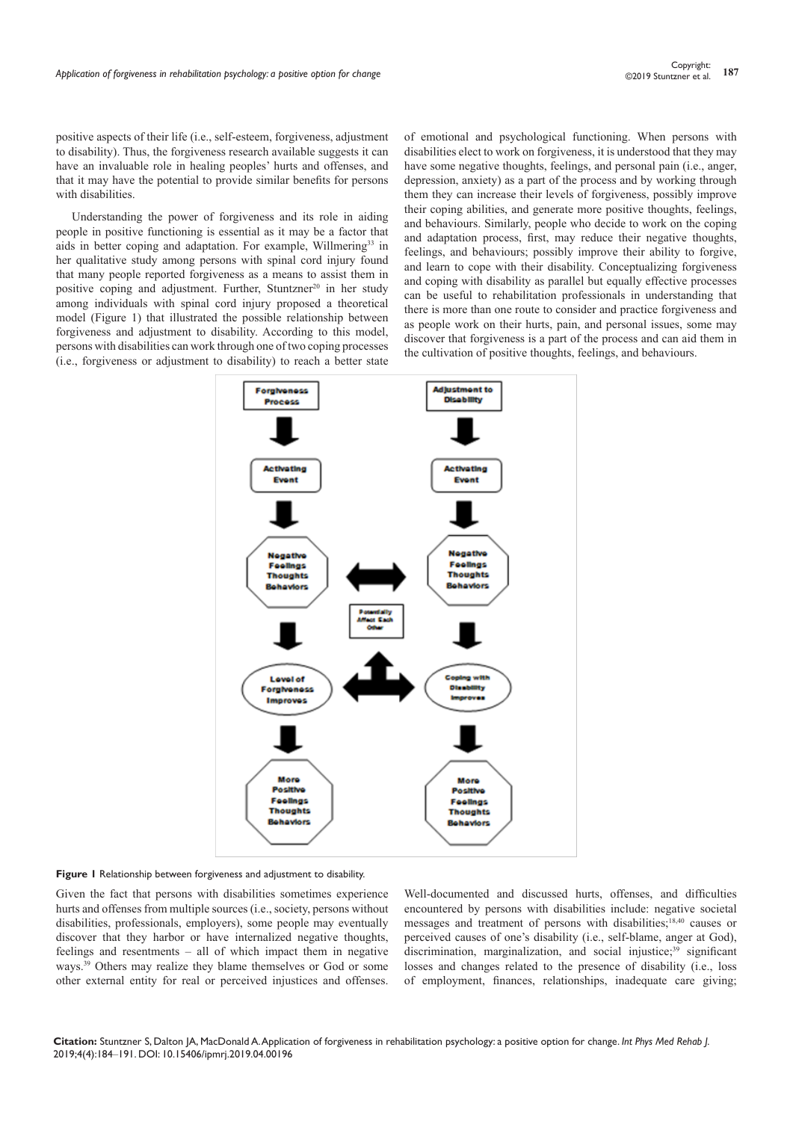positive aspects of their life (i.e., self-esteem, forgiveness, adjustment to disability). Thus, the forgiveness research available suggests it can have an invaluable role in healing peoples' hurts and offenses, and that it may have the potential to provide similar benefits for persons with disabilities.

Understanding the power of forgiveness and its role in aiding people in positive functioning is essential as it may be a factor that aids in better coping and adaptation. For example, Willmering<sup>33</sup> in her qualitative study among persons with spinal cord injury found that many people reported forgiveness as a means to assist them in positive coping and adjustment. Further, Stuntzner<sup>20</sup> in her study among individuals with spinal cord injury proposed a theoretical model (Figure 1) that illustrated the possible relationship between forgiveness and adjustment to disability. According to this model, persons with disabilities can work through one of two coping processes (i.e., forgiveness or adjustment to disability) to reach a better state

of emotional and psychological functioning. When persons with disabilities elect to work on forgiveness, it is understood that they may have some negative thoughts, feelings, and personal pain (i.e., anger, depression, anxiety) as a part of the process and by working through them they can increase their levels of forgiveness, possibly improve their coping abilities, and generate more positive thoughts, feelings, and behaviours. Similarly, people who decide to work on the coping and adaptation process, first, may reduce their negative thoughts, feelings, and behaviours; possibly improve their ability to forgive, and learn to cope with their disability. Conceptualizing forgiveness and coping with disability as parallel but equally effective processes can be useful to rehabilitation professionals in understanding that there is more than one route to consider and practice forgiveness and as people work on their hurts, pain, and personal issues, some may discover that forgiveness is a part of the process and can aid them in the cultivation of positive thoughts, feelings, and behaviours.



**Figure 1** Relationship between forgiveness and adjustment to disability.

Given the fact that persons with disabilities sometimes experience hurts and offenses from multiple sources (i.e., society, persons without disabilities, professionals, employers), some people may eventually discover that they harbor or have internalized negative thoughts, feelings and resentments – all of which impact them in negative ways.<sup>39</sup> Others may realize they blame themselves or God or some other external entity for real or perceived injustices and offenses.

Well-documented and discussed hurts, offenses, and difficulties encountered by persons with disabilities include: negative societal messages and treatment of persons with disabilities;18,40 causes or perceived causes of one's disability (i.e., self-blame, anger at God), discrimination, marginalization, and social injustice;<sup>39</sup> significant losses and changes related to the presence of disability (i.e., loss of employment, finances, relationships, inadequate care giving;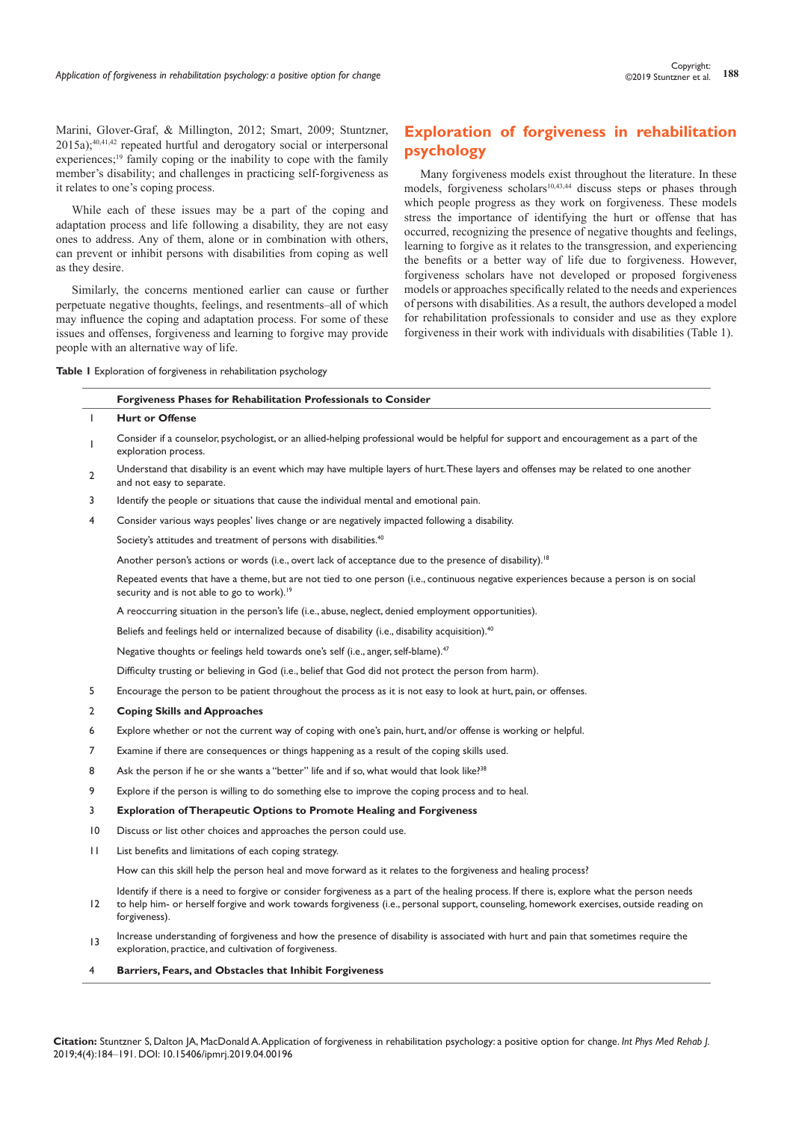Marini, Glover-Graf, & Millington, 2012; Smart, 2009; Stuntzner, 2015a);40,41,42 repeated hurtful and derogatory social or interpersonal experiences;<sup>19</sup> family coping or the inability to cope with the family member's disability; and challenges in practicing self-forgiveness as it relates to one's coping process.

While each of these issues may be a part of the coping and adaptation process and life following a disability, they are not easy ones to address. Any of them, alone or in combination with others, can prevent or inhibit persons with disabilities from coping as well as they desire.

Similarly, the concerns mentioned earlier can cause or further perpetuate negative thoughts, feelings, and resentments–all of which may influence the coping and adaptation process. For some of these issues and offenses, forgiveness and learning to forgive may provide people with an alternative way of life.

**Forgiveness Phases for Rehabilitation Professionals to Consider**

# **Exploration of forgiveness in rehabilitation psychology**

Many forgiveness models exist throughout the literature. In these models, forgiveness scholars<sup>10,43,44</sup> discuss steps or phases through which people progress as they work on forgiveness. These models stress the importance of identifying the hurt or offense that has occurred, recognizing the presence of negative thoughts and feelings, learning to forgive as it relates to the transgression, and experiencing the benefits or a better way of life due to forgiveness. However, forgiveness scholars have not developed or proposed forgiveness models or approaches specifically related to the needs and experiences of persons with disabilities. As a result, the authors developed a model for rehabilitation professionals to consider and use as they explore forgiveness in their work with individuals with disabilities (Table 1).

**Table 1** Exploration of forgiveness in rehabilitation psychology

| T               | <b>Hurt or Offense</b>                                                                                                                                                                           |
|-----------------|--------------------------------------------------------------------------------------------------------------------------------------------------------------------------------------------------|
| L               | Consider if a counselor, psychologist, or an allied-helping professional would be helpful for support and encouragement as a part of the<br>exploration process.                                 |
| 2               | Understand that disability is an event which may have multiple layers of hurt. These layers and offenses may be related to one another<br>and not easy to separate.                              |
| 3               | Identify the people or situations that cause the individual mental and emotional pain.                                                                                                           |
| 4               | Consider various ways peoples' lives change or are negatively impacted following a disability.                                                                                                   |
|                 | Society's attitudes and treatment of persons with disabilities. <sup>40</sup>                                                                                                                    |
|                 | Another person's actions or words (i.e., overt lack of acceptance due to the presence of disability). <sup>18</sup>                                                                              |
|                 | Repeated events that have a theme, but are not tied to one person (i.e., continuous negative experiences because a person is on social<br>security and is not able to go to work). <sup>19</sup> |
|                 | A reoccurring situation in the person's life (i.e., abuse, neglect, denied employment opportunities).                                                                                            |
|                 | Beliefs and feelings held or internalized because of disability (i.e., disability acquisition). <sup>40</sup>                                                                                    |
|                 | Negative thoughts or feelings held towards one's self (i.e., anger, self-blame). <sup>47</sup>                                                                                                   |
|                 | Difficulty trusting or believing in God (i.e., belief that God did not protect the person from harm).                                                                                            |
| 5               | Encourage the person to be patient throughout the process as it is not easy to look at hurt, pain, or offenses.                                                                                  |
| 2               | <b>Coping Skills and Approaches</b>                                                                                                                                                              |
| 6               | Explore whether or not the current way of coping with one's pain, hurt, and/or offense is working or helpful.                                                                                    |
| 7               | Examine if there are consequences or things happening as a result of the coping skills used.                                                                                                     |
| 8               | Ask the person if he or she wants a "better" life and if so, what would that look like? <sup>38</sup>                                                                                            |
| 9               | Explore if the person is willing to do something else to improve the coping process and to heal.                                                                                                 |
| 3               | <b>Exploration of Therapeutic Options to Promote Healing and Forgiveness</b>                                                                                                                     |
| $\overline{10}$ | Discuss or list other choices and approaches the person could use.                                                                                                                               |
| $\mathbf{H}$    | List benefits and limitations of each coping strategy.                                                                                                                                           |
|                 | How can this skill help the person heal and move forward as it relates to the forgiveness and healing process?                                                                                   |
|                 | Identify if there is a need to forgive or consider forgiveness as a part of the healing process If there is explore what the person needs                                                        |

12 Identify if there is a need to forgive or consider forgiveness as a part of the healing process. If there is, explore what the person needs to help him- or herself forgive and work towards forgiveness (i.e., personal support, counseling, homework exercises, outside reading on forgiveness).

Increase understanding of forgiveness and how the presence of disability is associated with hurt and pain that sometimes require the exploration, practice, and cultivation of forgiveness.

#### 4 **Barriers, Fears, and Obstacles that Inhibit Forgiveness**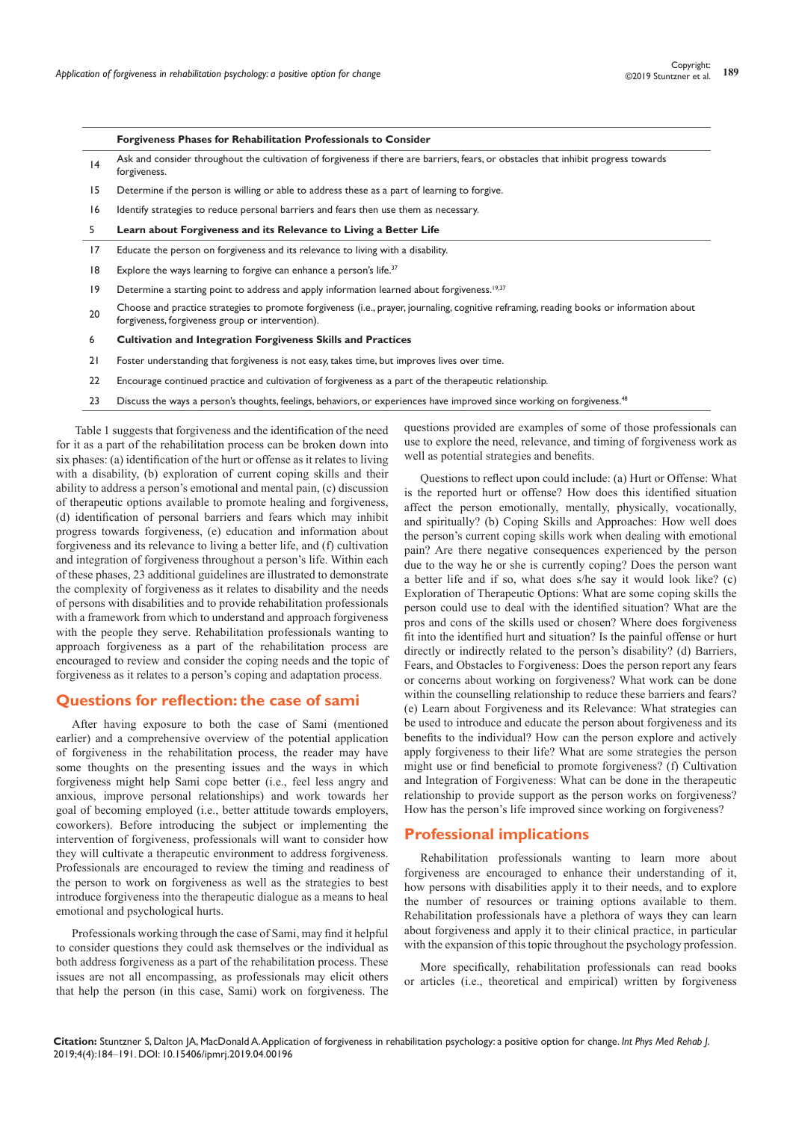|             | Forgiveness Phases for Rehabilitation Professionals to Consider                                                                                                                              |
|-------------|----------------------------------------------------------------------------------------------------------------------------------------------------------------------------------------------|
| 4           | Ask and consider throughout the cultivation of forgiveness if there are barriers, fears, or obstacles that inhibit progress towards<br>forgiveness.                                          |
| 15          | Determine if the person is willing or able to address these as a part of learning to forgive.                                                                                                |
| 16          | Identify strategies to reduce personal barriers and fears then use them as necessary.                                                                                                        |
| 5           | Learn about Forgiveness and its Relevance to Living a Better Life                                                                                                                            |
| 17          | Educate the person on forgiveness and its relevance to living with a disability.                                                                                                             |
| 18          | Explore the ways learning to forgive can enhance a person's life. <sup>37</sup>                                                                                                              |
| $ 9\rangle$ | Determine a starting point to address and apply information learned about forgiveness. <sup>19,37</sup>                                                                                      |
| 20          | Choose and practice strategies to promote forgiveness (i.e., prayer, journaling, cognitive reframing, reading books or information about<br>forgiveness, forgiveness group or intervention). |
| 6           | <b>Cultivation and Integration Forgiveness Skills and Practices</b>                                                                                                                          |
| 21          | Foster understanding that forgiveness is not easy, takes time, but improves lives over time.                                                                                                 |
| 22          | Encourage continued practice and cultivation of forgiveness as a part of the therapeutic relationship.                                                                                       |
| 23          | Discuss the ways a person's thoughts, feelings, behaviors, or experiences have improved since working on forgiveness. <sup>48</sup>                                                          |

Table 1 suggests that forgiveness and the identification of the need for it as a part of the rehabilitation process can be broken down into six phases: (a) identification of the hurt or offense as it relates to living with a disability, (b) exploration of current coping skills and their ability to address a person's emotional and mental pain, (c) discussion of therapeutic options available to promote healing and forgiveness, (d) identification of personal barriers and fears which may inhibit progress towards forgiveness, (e) education and information about forgiveness and its relevance to living a better life, and (f) cultivation and integration of forgiveness throughout a person's life. Within each of these phases, 23 additional guidelines are illustrated to demonstrate the complexity of forgiveness as it relates to disability and the needs of persons with disabilities and to provide rehabilitation professionals with a framework from which to understand and approach forgiveness with the people they serve. Rehabilitation professionals wanting to approach forgiveness as a part of the rehabilitation process are encouraged to review and consider the coping needs and the topic of forgiveness as it relates to a person's coping and adaptation process.

## **Questions for reflection: the case of sami**

After having exposure to both the case of Sami (mentioned earlier) and a comprehensive overview of the potential application of forgiveness in the rehabilitation process, the reader may have some thoughts on the presenting issues and the ways in which forgiveness might help Sami cope better (i.e., feel less angry and anxious, improve personal relationships) and work towards her goal of becoming employed (i.e., better attitude towards employers, coworkers). Before introducing the subject or implementing the intervention of forgiveness, professionals will want to consider how they will cultivate a therapeutic environment to address forgiveness. Professionals are encouraged to review the timing and readiness of the person to work on forgiveness as well as the strategies to best introduce forgiveness into the therapeutic dialogue as a means to heal emotional and psychological hurts.

Professionals working through the case of Sami, may find it helpful to consider questions they could ask themselves or the individual as both address forgiveness as a part of the rehabilitation process. These issues are not all encompassing, as professionals may elicit others that help the person (in this case, Sami) work on forgiveness. The

questions provided are examples of some of those professionals can use to explore the need, relevance, and timing of forgiveness work as well as potential strategies and benefits.

Questions to reflect upon could include: (a) Hurt or Offense: What is the reported hurt or offense? How does this identified situation affect the person emotionally, mentally, physically, vocationally, and spiritually? (b) Coping Skills and Approaches: How well does the person's current coping skills work when dealing with emotional pain? Are there negative consequences experienced by the person due to the way he or she is currently coping? Does the person want a better life and if so, what does s/he say it would look like? (c) Exploration of Therapeutic Options: What are some coping skills the person could use to deal with the identified situation? What are the pros and cons of the skills used or chosen? Where does forgiveness fit into the identified hurt and situation? Is the painful offense or hurt directly or indirectly related to the person's disability? (d) Barriers, Fears, and Obstacles to Forgiveness: Does the person report any fears or concerns about working on forgiveness? What work can be done within the counselling relationship to reduce these barriers and fears? (e) Learn about Forgiveness and its Relevance: What strategies can be used to introduce and educate the person about forgiveness and its benefits to the individual? How can the person explore and actively apply forgiveness to their life? What are some strategies the person might use or find beneficial to promote forgiveness? (f) Cultivation and Integration of Forgiveness: What can be done in the therapeutic relationship to provide support as the person works on forgiveness? How has the person's life improved since working on forgiveness?

## **Professional implications**

Rehabilitation professionals wanting to learn more about forgiveness are encouraged to enhance their understanding of it, how persons with disabilities apply it to their needs, and to explore the number of resources or training options available to them. Rehabilitation professionals have a plethora of ways they can learn about forgiveness and apply it to their clinical practice, in particular with the expansion of this topic throughout the psychology profession.

More specifically, rehabilitation professionals can read books or articles (i.e., theoretical and empirical) written by forgiveness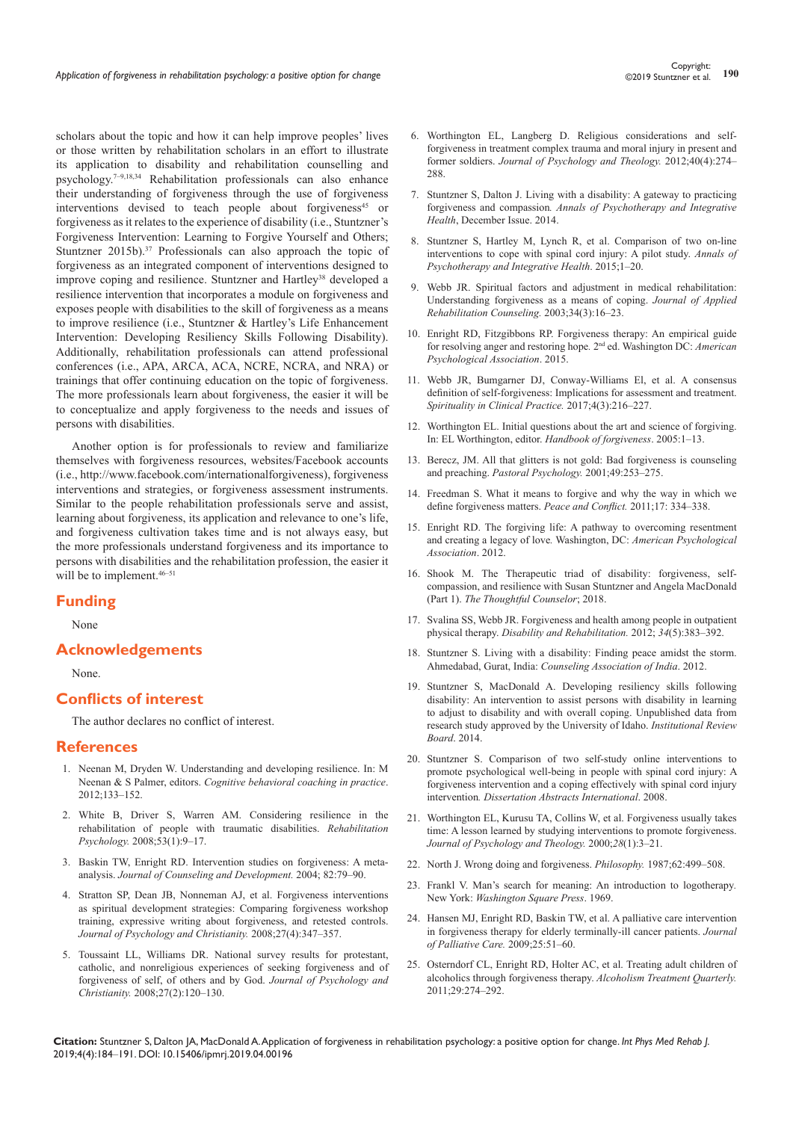scholars about the topic and how it can help improve peoples' lives or those written by rehabilitation scholars in an effort to illustrate its application to disability and rehabilitation counselling and psychology.7–9,18,34 Rehabilitation professionals can also enhance their understanding of forgiveness through the use of forgiveness interventions devised to teach people about forgiveness<sup>45</sup> or forgiveness as it relates to the experience of disability (i.e., Stuntzner's Forgiveness Intervention: Learning to Forgive Yourself and Others; Stuntzner 2015b).<sup>37</sup> Professionals can also approach the topic of forgiveness as an integrated component of interventions designed to improve coping and resilience. Stuntzner and Hartley<sup>38</sup> developed a resilience intervention that incorporates a module on forgiveness and exposes people with disabilities to the skill of forgiveness as a means to improve resilience (i.e., Stuntzner & Hartley's Life Enhancement Intervention: Developing Resiliency Skills Following Disability). Additionally, rehabilitation professionals can attend professional conferences (i.e., APA, ARCA, ACA, NCRE, NCRA, and NRA) or

trainings that offer continuing education on the topic of forgiveness. The more professionals learn about forgiveness, the easier it will be to conceptualize and apply forgiveness to the needs and issues of persons with disabilities.

Another option is for professionals to review and familiarize themselves with forgiveness resources, websites/Facebook accounts (i.e., http://www.facebook.com/internationalforgiveness), forgiveness interventions and strategies, or forgiveness assessment instruments. Similar to the people rehabilitation professionals serve and assist, learning about forgiveness, its application and relevance to one's life, and forgiveness cultivation takes time and is not always easy, but the more professionals understand forgiveness and its importance to persons with disabilities and the rehabilitation profession, the easier it will be to implement.<sup>46–51</sup>

## **Funding**

None

## **Acknowledgements**

None.

## **Conflicts of interest**

The author declares no conflict of interest.

#### **References**

- 1. [Neenan M, Dryden W. Understanding and developing resilience. In: M](https://www.taylorfrancis.com/books/e/9780203144404/chapters/10.4324/9780203144404-14)  Neenan & S Palmer, editors. *[Cognitive behavioral coaching in practice](https://www.taylorfrancis.com/books/e/9780203144404/chapters/10.4324/9780203144404-14)*. [2012;133–152.](https://www.taylorfrancis.com/books/e/9780203144404/chapters/10.4324/9780203144404-14)
- 2. [White B, Driver S, Warren AM. Considering resilience in the](https://psycnet.apa.org/record/2008-01899-002)  [rehabilitation of people with traumatic disabilities.](https://psycnet.apa.org/record/2008-01899-002) *Rehabilitation Psychology.* [2008;53\(1\):9–17.](https://psycnet.apa.org/record/2008-01899-002)
- 3. [Baskin TW, Enright RD. Intervention studies on forgiveness: A meta](https://greatergood.berkeley.edu/images/uploads/Baskin-InterventionForgiveness.pdf)analysis. *Journal of [Counseling and Development.](https://greatergood.berkeley.edu/images/uploads/Baskin-InterventionForgiveness.pdf)* 2004; 82:79–90.
- 4. [Stratton SP, Dean JB, Nonneman AJ, et al. Forgiveness interventions](https://psycnet.apa.org/record/2009-01659-007)  [as spiritual development strategies: Comparing forgiveness workshop](https://psycnet.apa.org/record/2009-01659-007)  [training, expressive writing about forgiveness, and retested controls.](https://psycnet.apa.org/record/2009-01659-007)  *[Journal of Psychology and Christianity.](https://psycnet.apa.org/record/2009-01659-007)* 2008;27(4):347–357.
- 5. [Toussaint LL, Williams DR. National survey results for protestant,](https://psycnet.apa.org/record/2008-09062-004)  [catholic, and nonreligious experiences of seeking forgiveness and of](https://psycnet.apa.org/record/2008-09062-004)  [forgiveness of self, of others and by God.](https://psycnet.apa.org/record/2008-09062-004) *Journal of Psychology and Christianity.* [2008;27\(2\):120–130.](https://psycnet.apa.org/record/2008-09062-004)
- 6. [Worthington EL, Langberg D. Religious considerations and self](https://journals.sagepub.com/doi/abs/10.1177/009164711204000403?journalCode=ptja)[forgiveness in treatment complex trauma and moral injury in present and](https://journals.sagepub.com/doi/abs/10.1177/009164711204000403?journalCode=ptja)  former soldiers. *[Journal of Psychology and Theology.](https://journals.sagepub.com/doi/abs/10.1177/009164711204000403?journalCode=ptja)* 2012;40(4):274– [288.](https://journals.sagepub.com/doi/abs/10.1177/009164711204000403?journalCode=ptja)
- 7. [Stuntzner S, Dalton J. Living with a disability: A gateway to practicing](https://www.infontd.org/resource/living-disability-gateway-practicing-forgiveness-and-compassion)  forgiveness and compassion*[. Annals of Psychotherapy and Integrative](https://www.infontd.org/resource/living-disability-gateway-practicing-forgiveness-and-compassion)  Health*[, December Issue. 2014.](https://www.infontd.org/resource/living-disability-gateway-practicing-forgiveness-and-compassion)
- 8. Stuntzner S, Hartley M, Lynch R, et al. Comparison of two on-line interventions to cope with spinal cord injury: A pilot study. *Annals of Psychotherapy and Integrative Health*. 2015;1–20.
- 9. [Webb JR. Spiritual factors and adjustment in medical rehabilitation:](https://psycnet.apa.org/record/2003-08728-003)  [Understanding forgiveness as a means of coping.](https://psycnet.apa.org/record/2003-08728-003) *Journal of Applied [Rehabilitation Counseling.](https://psycnet.apa.org/record/2003-08728-003)* 2003;34(3):16–23.
- 10. [Enright RD, Fitzgibbons RP. Forgiveness therapy: An empirical guide](https://www.apa.org/pubs/books/4317358)  [for resolving anger and restoring hope](https://www.apa.org/pubs/books/4317358)*.* 2nd ed. Washington DC: *American [Psychological Association](https://www.apa.org/pubs/books/4317358)*. 2015.
- 11. [Webb JR, Bumgarner DJ, Conway-Williams El, et al. A consensus](https://psycnet.apa.org/record/2017-36691-001)  [definition of self-forgiveness: Implications for assessment and treatment.](https://psycnet.apa.org/record/2017-36691-001)  *[Spirituality in Clinical Practice.](https://psycnet.apa.org/record/2017-36691-001)* 2017;4(3):216–227.
- 12. [Worthington EL. Initial questions about the art and science of forgiving.](https://www.taylorfrancis.com/books/e/9780203955673/chapters/10.4324/9780203955673-5)  [In: EL Worthington, editor.](https://www.taylorfrancis.com/books/e/9780203955673/chapters/10.4324/9780203955673-5) *Handbook of forgiveness*. 2005:1–13.
- 13. [Berecz, JM. All that glitters is not gold: Bad forgiveness is counseling](https://link.springer.com/article/10.1023/A:1004869004377)  and preaching. *[Pastoral Psychology.](https://link.springer.com/article/10.1023/A:1004869004377)* 2001;49:253–275.
- 14. [Freedman S. What it means to forgive and why the way in which we](https://www.tandfonline.com/doi/abs/10.1080/10781919.2011.587365?journalCode=hpcn20)  [define forgiveness matters.](https://www.tandfonline.com/doi/abs/10.1080/10781919.2011.587365?journalCode=hpcn20) *Peace and Conflict.* 2011;17: 334–338.
- 15. [Enright RD. The forgiving life: A pathway to overcoming resentment](https://www.apa.org/pubs/books/4441016)  [and creating a legacy of love](https://www.apa.org/pubs/books/4441016)*.* Washington, DC: *American Psychological [Association](https://www.apa.org/pubs/books/4441016)*. 2012.
- 16. [Shook M. The Therapeutic triad of disability: forgiveness, self](https://thethoughtfulcounselor.com/2018/02/the-therapeutic-triad-of-disability-forgiveness-self-compassion-and-resilience-with-susan-stuntzner-and-angela-macdonald-part-1/)[compassion, and resilience with Susan Stuntzner and Angela MacDonald](https://thethoughtfulcounselor.com/2018/02/the-therapeutic-triad-of-disability-forgiveness-self-compassion-and-resilience-with-susan-stuntzner-and-angela-macdonald-part-1/)  (Part 1). *[The Thoughtful Counselor](https://thethoughtfulcounselor.com/2018/02/the-therapeutic-triad-of-disability-forgiveness-self-compassion-and-resilience-with-susan-stuntzner-and-angela-macdonald-part-1/)*; 2018.
- 17. [Svalina SS, Webb JR. Forgiveness and health among people in outpatient](https://www.ncbi.nlm.nih.gov/pubmed/22017571)  physical therapy. *[Disability and Rehabilitation.](https://www.ncbi.nlm.nih.gov/pubmed/22017571)* 2012; *34*(5):383–392.
- 18. [Stuntzner S. Living with a disability: Finding peace amidst the storm.](https://kisslibrary.net/book/E65AE53A1E740C3EAEE2?utm_source=ps12&utm_medium=tohuinl.tk&utm_campaign=fnom&x=1890604) Ahmedabad, Gurat, India: *[Counseling Association of India](https://kisslibrary.net/book/E65AE53A1E740C3EAEE2?utm_source=ps12&utm_medium=tohuinl.tk&utm_campaign=fnom&x=1890604)*. 2012.
- 19. Stuntzner S, MacDonald A. Developing resiliency skills following disability: An intervention to assist persons with disability in learning to adjust to disability and with overall coping. Unpublished data from research study approved by the University of Idaho. *Institutional Review Board*. 2014.
- 20. [Stuntzner S. Comparison of two self-study online interventions to](https://www.worldcat.org/title/comparison-of-two-self-study-on-line-interventions-to-promote-psychological-well-being-in-people-with-spinal-cord-injury-a-forgiveness-intervention-and-a-coping-effectively-with-spinal-cord-injury-intervention/oclc/186449439)  [promote psychological well-being in people with spinal cord injury: A](https://www.worldcat.org/title/comparison-of-two-self-study-on-line-interventions-to-promote-psychological-well-being-in-people-with-spinal-cord-injury-a-forgiveness-intervention-and-a-coping-effectively-with-spinal-cord-injury-intervention/oclc/186449439)  [forgiveness intervention and a coping effectively with spinal cord injury](https://www.worldcat.org/title/comparison-of-two-self-study-on-line-interventions-to-promote-psychological-well-being-in-people-with-spinal-cord-injury-a-forgiveness-intervention-and-a-coping-effectively-with-spinal-cord-injury-intervention/oclc/186449439)  intervention*[. Dissertation Abstracts International](https://www.worldcat.org/title/comparison-of-two-self-study-on-line-interventions-to-promote-psychological-well-being-in-people-with-spinal-cord-injury-a-forgiveness-intervention-and-a-coping-effectively-with-spinal-cord-injury-intervention/oclc/186449439)*. 2008.
- 21. [Worthington EL, Kurusu TA, Collins W, et al. Forgiveness usually takes](https://journals.sagepub.com/doi/10.1177/009164710002800101)  [time: A lesson learned by studying interventions to promote forgiveness.](https://journals.sagepub.com/doi/10.1177/009164710002800101)  *[Journal of Psychology and Theology.](https://journals.sagepub.com/doi/10.1177/009164710002800101)* 2000;*28*(1):3–21.
- 22. North J. Wrong doing and forgiveness. *Philosophy.* 1987;62:499–508.
- 23. [Frankl V. Man's search for meaning: An introduction to logotherapy](https://www.scirp.org/(S(351jmbntvnsjt1aadkposzje))/reference/ReferencesPapers.aspx?ReferenceID=1907651)*.* New York: *[Washington Square Press](https://www.scirp.org/(S(351jmbntvnsjt1aadkposzje))/reference/ReferencesPapers.aspx?ReferenceID=1907651)*. 1969.
- 24. [Hansen MJ, Enright RD, Baskin TW, et al. A palliative care intervention](https://www.ncbi.nlm.nih.gov/pubmed/19445342)  [in forgiveness therapy for elderly terminally-ill cancer patients.](https://www.ncbi.nlm.nih.gov/pubmed/19445342) *Journal [of Palliative Care.](https://www.ncbi.nlm.nih.gov/pubmed/19445342)* 2009;25:51–60.
- 25. [Osterndorf CL, Enright RD, Holter AC, et al. Treating adult children of](https://www.tandfonline.com/doi/abs/10.1080/07347324.2011.586285)  [alcoholics through forgiveness therapy.](https://www.tandfonline.com/doi/abs/10.1080/07347324.2011.586285) *Alcoholism Treatment Quarterly.*  [2011;29:274–292.](https://www.tandfonline.com/doi/abs/10.1080/07347324.2011.586285)

**Citation:** Stuntzner S, Dalton JA, MacDonald A. Application of forgiveness in rehabilitation psychology: a positive option for change. *Int Phys Med Rehab J.* 2019;4(4):184‒191. DOI: [10.15406/ipmrj.2019.04.00196](https://doi.org/10.15406/ipmrj.2019.04.00196)